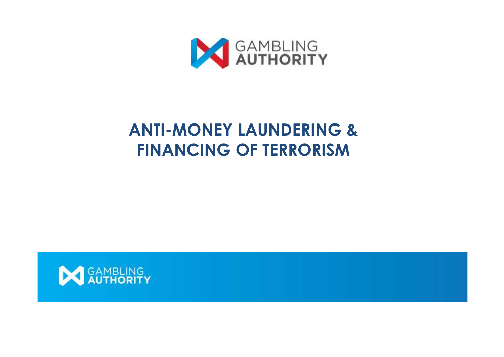

## **ANTI-MONEY LAUNDERING & FINANCING OF TERRORISM**

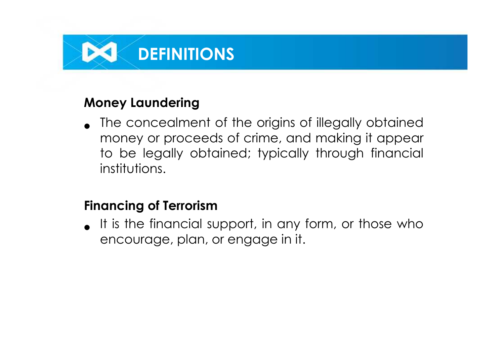#### **Money Laundering**

• The concealment of the origins of illegally obtained money or proceeds of crime, and making it appear to be legally obtained; typically through financial institutions.

### **Financing of Terrorism**

• It is the financial support, in any form, or those who<br>
angourage plan ar angome in it encourage, plan, or engage in it.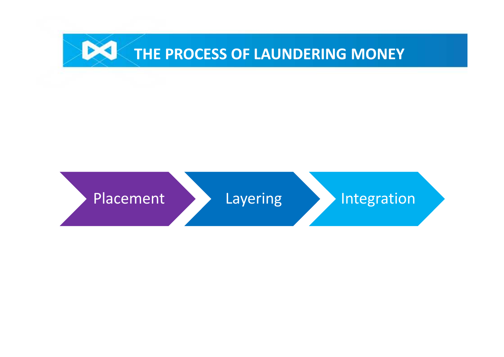

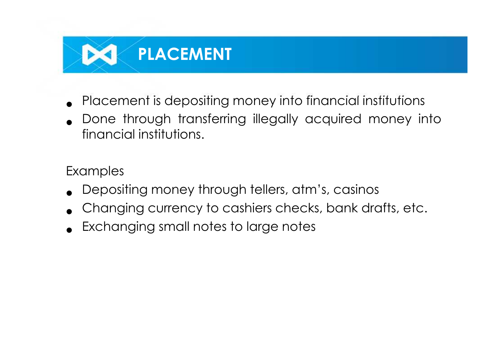

- Placement is depositing money into financial institutions
- Done through transferring illegally acquired money into financial institutions.

#### Examples

- Depositing money through tellers, atm's, casinos
- Changing currency to cashiers checks, bank drafts, etc.<br>• Exchanging small notes to large notes
-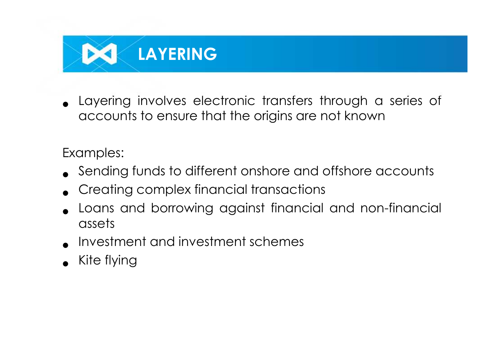

• Layering involves electronic transfers through a series of accounts to ensure that the origins are not known

Examples:

- Sending funds to different onshore and offshore accounts
- Creating complex financial transactions
- Loans and borrowing against financial and non-financial assets
- Investment and investment schemes
- Kite flying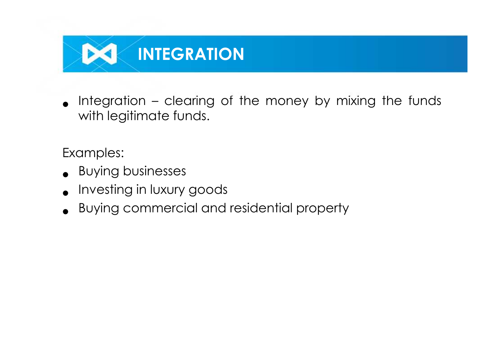

• Integration – clearing of the money by mixing the funds<br>with leaitimate funds with legitimate funds.

Examples:

- Buying businesses
- Investing in luxury goods
- Buying commercial and residential property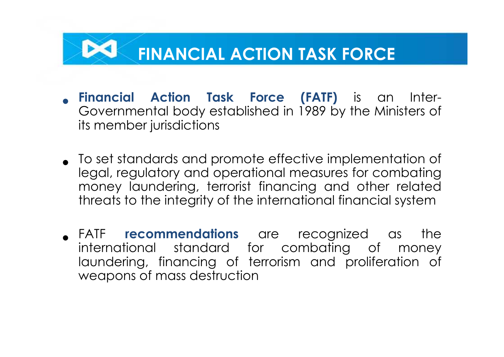## **FINANCIAL ACTION TASK FORCE**

- **Financial Action Task Force (FATF)** is an Inter- Governmental body established in 1989 by the Ministers of its member jurisdictions
- To set standards and promote effective implementation of legal, regulatory and operational measures for combating money laundering, terrorist financing and other related threats to the integrity of the international financial system
- FATF **recommendations** are recognized as the international standard for combating of money laundering, financing of terrorism and proliferation of weapons of mass destruction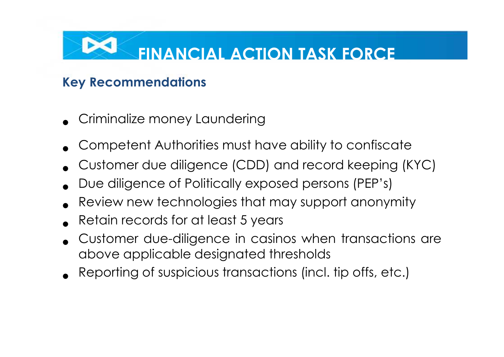# **FINANCIAL ACTION TASK FORCE**

## **Key Recommendations**

- Criminalize money Laundering
- Competent Authorities must have ability to confiscate
- Customer due diligence (CDD) and record keeping (KYC)
- Due diligence of Politically exposed persons (PEP's)
- Review new technologies that may support anonymity
- Retain records for at least <sup>5</sup> years
- Customer due-diligence in casinos when transactions are above applicable designated thresholds
- Reporting of suspicious transactions (incl. tip offs, etc.)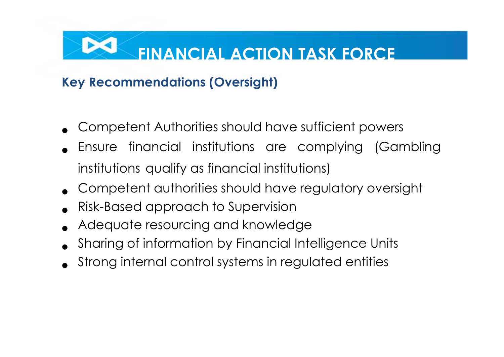# **FINANCIAL ACTION TASK FORCE**

## **Key Recommendations (Oversight)**

- Competent Authorities should have sufficient powers
- Ensure financial institutions are complying (Gambling institutions qualify as financial institutions)
- Competent authorities should have regulatory oversight
- Risk-Based approach to Supervision
- Adequate resourcing and knowledge
- Sharing of information by Financial Intelligence Units
- Strong internal control systems in regulated entities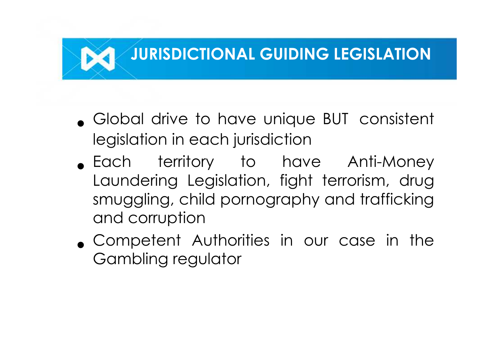## **JURISDICTIONAL GUIDING LEGISLATION**

- Global drive to have unique BUT consistent legislation in each jurisdiction
- Each territory to have Anti-Money Laundering Legislation, fight terrorism, drug smuggling, child pornography and trafficking and corruption
- Competent Authorities in our case in the Gambling regulator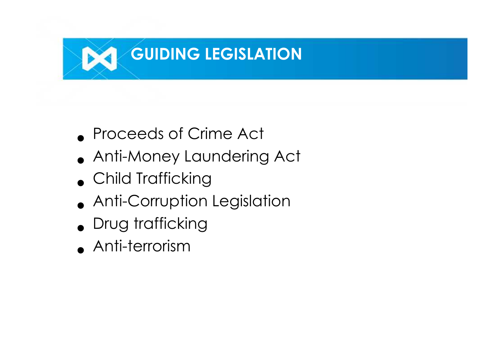

- Proceeds of Crime Act
- Anti-Money Laundering Act
- Child Trafficking
- Anti-Corruption Legislation
- Drug trafficking
- Anti-terrorism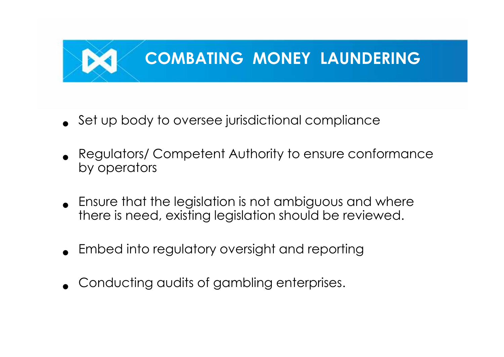

- Set up body to oversee jurisdictional compliance
- Regulators/ Competent Authority to ensure conformance by operators
- Ensure that the legislation is not ambiguous and where there is need, existing legislation should be reviewed.
- Embed into regulatory oversight and reporting
- Conducting audits of gambling enterprises.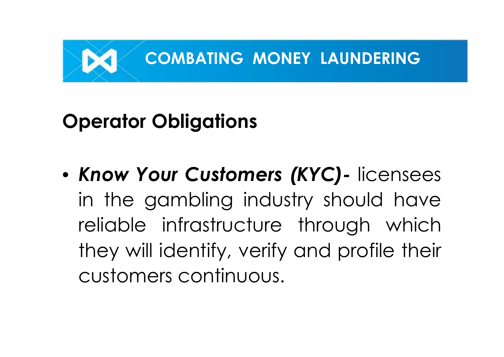

# **Operator Obligations**

• *Know Your Customers (KYC)-* licensees in the gambling industry should have reliable infrastructure through which they will identify, verify and profile their customers continuous.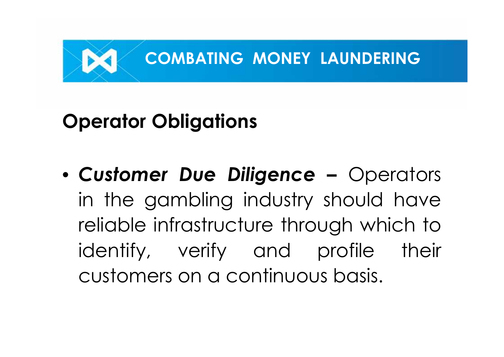

# **Operator Obligations**

• *Customer Due Diligence –* Operators in the gambling industry should have reliable infrastructure through which to identify, verify and profile their customers on a continuous basis.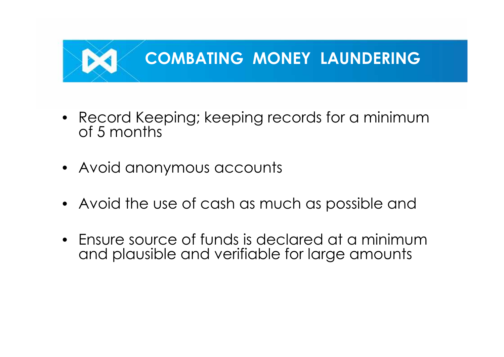

- Record Keeping; keeping records for a minimum of 5 months
- Avoid anonymous accounts
- Avoid the use of cash as much as possible and
- Ensure source of funds is declared at a minimum and plausible and verifiable for large amounts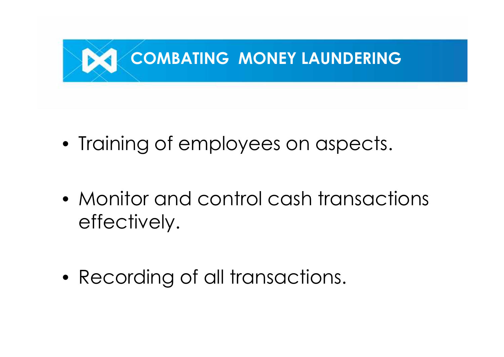

- Training of employees on aspects.
- Monitor and control cash transactions effectively.
- Recording of all transactions.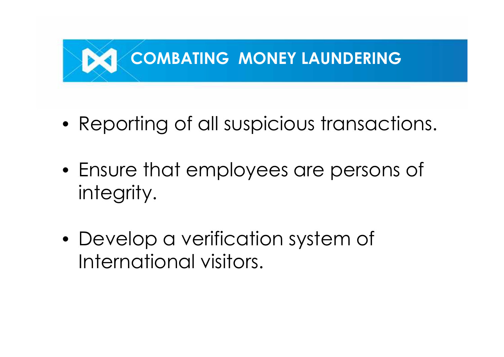

- Reporting of all suspicious transactions.
- Ensure that employees are persons of integrity.
- Develop a verification system of International visitors.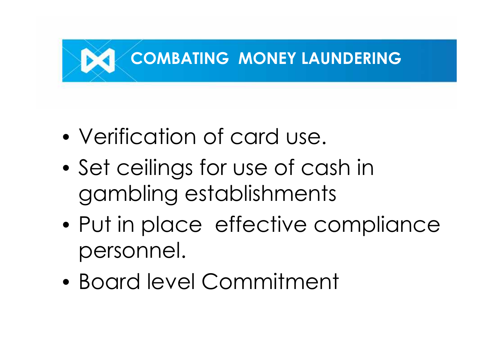

- Verification of card use.
- Set ceilings for use of cash in gambling establishments
- Put in place effective compliance personnel.
- Board level Commitment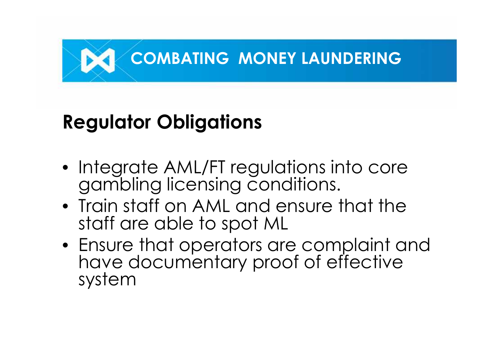

# **Regulator Obligations**

- Integrate AML/FT regulations into core gambling licensing conditions.
- Train staff on AML and ensure that the staff are able to spot ML
- Ensure that operators are complaint and have documentary proof of effective system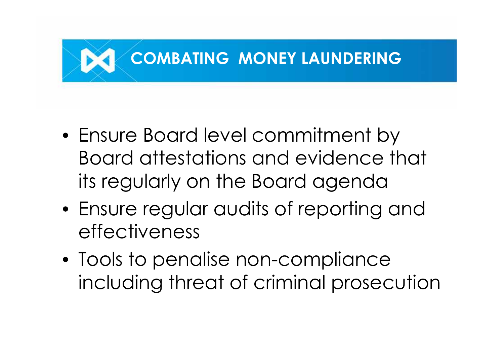

- Ensure Board level commitment by Board attestations and evidence that its regularly on the Board agenda
- Ensure regular audits of reporting and effectiveness
- Tools to penalise non-compliance including threat of criminal prosecution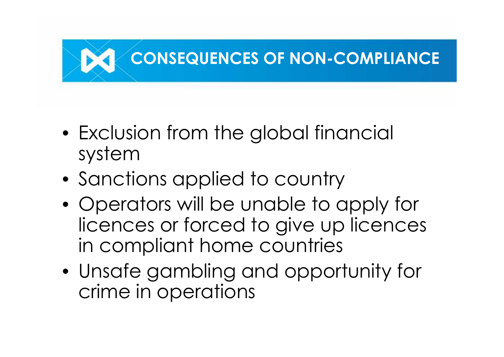

- Exclusion from the global financial system
- Sanctions applied to country
- Operators will be unable to apply for licences or forced to give up licences in compliant home countries
- Unsafe gambling and opportunity for crime in operations